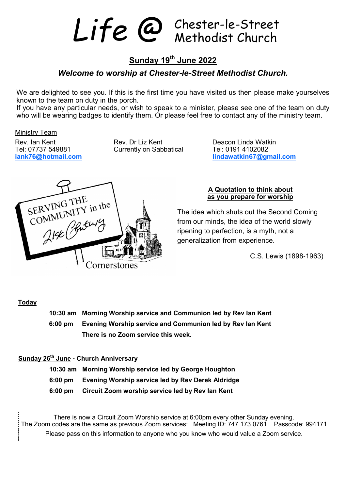Life @ Chester-le-Street

## **Sunday 19th June 2022**

#### *Welcome to worship at Chester***-***le***-***Street Methodist Church.*

We are delighted to see you. If this is the first time you have visited us then please make yourselves known to the team on duty in the porch.

If you have any particular needs, or wish to speak to a minister, please see one of the team on duty who will be wearing badges to identify them. Or please feel free to contact any of the ministry team.

#### Ministry Team

Tel: 07737 549881 Currently on Sabbatical iank76@hotmail.com

Rev. Ian Kent **Rev. Dr Liz Kent** Peacon Linda Watkin Tel: 07737 549881 Currently on Sabbatical **Rev. 1988** 

**iank76@hotmail.com lindawatkin67@gmail.com**



#### **A Quotation to think about as you prepare for worship**

The idea which shuts out the Second Coming from our minds, the idea of the world slowly ripening to perfection, is a myth, not a generalization from experience.

C.S. Lewis (1898-1963)

#### **Today**

 **10:30 am Morning Worship service and Communion led by Rev Ian Kent 6:00 pm Evening Worship service and Communion led by Rev Ian Kent There is no Zoom service this week.**

#### **Sunday 26th June - Church Anniversary**

- **10:30 am Morning Worship service led by George Houghton**
- **6:00 pm Evening Worship service led by Rev Derek Aldridge**
- **6:00 pm Circuit Zoom worship service led by Rev Ian Kent**

There is now a Circuit Zoom Worship service at 6:00pm every other Sunday evening. The Zoom codes are the same as previous Zoom services: Meeting ID: 747 173 0761 Passcode: 994171 Please pass on this information to anyone who you know who would value a Zoom service.